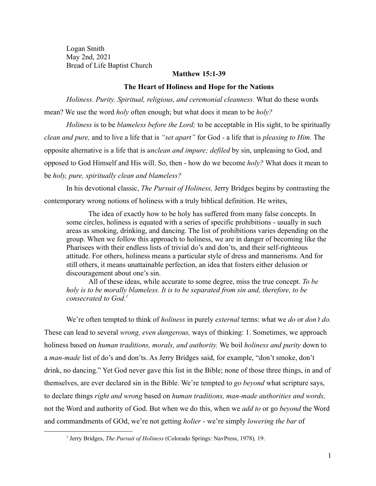Logan Smith May 2nd, 2021 Bread of Life Baptist Church

## **Matthew 15:1-39**

## **The Heart of Holiness and Hope for the Nations**

*Holiness. Purity. Spiritual, religious, and ceremonial cleanness.* What do these words mean? We use the word *holy* often enough; but what does it mean to be *holy?*

*Holiness* is to be *blameless before the Lord;* to be acceptable in His sight, to be spiritually *clean and pure,* and to live a life that is *"set apart"* for God - a life that is *pleasing to Him.* The opposite alternative is a life that is *unclean and impure; defiled* by sin, unpleasing to God, and opposed to God Himself and His will. So, then - how do we become *holy?* What does it mean to be *holy, pure, spiritually clean and blameless?*

In his devotional classic, *The Pursuit of Holiness,* Jerry Bridges begins by contrasting the contemporary wrong notions of holiness with a truly biblical definition. He writes,

The idea of exactly how to be holy has suffered from many false concepts. In some circles, holiness is equated with a series of specific prohibitions - usually in such areas as smoking, drinking, and dancing. The list of prohibitions varies depending on the group. When we follow this approach to holiness, we are in danger of becoming like the Pharisees with their endless lists of trivial do's and don'ts, and their self-righteous attitude. For others, holiness means a particular style of dress and mannerisms. And for still others, it means unattainable perfection, an idea that fosters either delusion or discouragement about one's sin.

All of these ideas, while accurate to some degree, miss the true concept. *To be holy is to be morally blameless. It is to be separated from sin and, therefore, to be consecrated to God.<sup>1</sup>*

We're often tempted to think of *holiness* in purely *external* terms: what we *do* or *don't do.* These can lead to several *wrong, even dangerous,* ways of thinking: 1. Sometimes, we approach holiness based on *human traditions, morals, and authority.* We boil *holiness and purity* down to a *man-made* list of do's and don'ts. As Jerry Bridges said, for example, "don't smoke, don't drink, no dancing." Yet God never gave this list in the Bible; none of those three things, in and of themselves, are ever declared sin in the Bible. We're tempted to *go beyond* what scripture says, to declare things *right and wrong* based on *human traditions, man-made authorities and words,* not the Word and authority of God. But when we do this, when we *add to* or go *beyond* the Word and commandments of GOd, we're not getting *holier* - we're simply *lowering the bar* of

<sup>1</sup> Jerry Bridges, *The Pursuit of Holiness* (Colorado Springs: NavPress, 1978)*,* 19.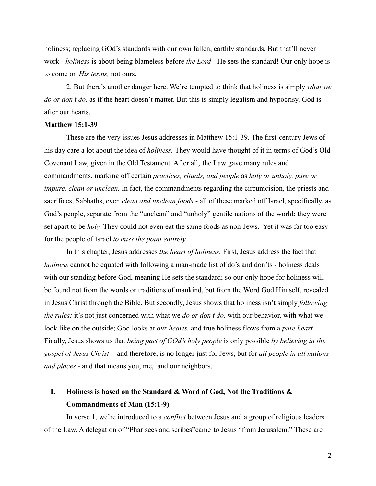holiness; replacing GOd's standards with our own fallen, earthly standards. But that'll never work - *holiness* is about being blameless before *the Lord -* He sets the standard! Our only hope is to come on *His terms,* not ours.

2. But there's another danger here. We're tempted to think that holiness is simply *what we do or don't do,* as if the heart doesn't matter. But this is simply legalism and hypocrisy. God is after our hearts.

#### **Matthew 15:1-39**

These are the very issues Jesus addresses in Matthew 15:1-39. The first-century Jews of his day care a lot about the idea of *holiness.* They would have thought of it in terms of God's Old Covenant Law, given in the Old Testament. After all, the Law gave many rules and commandments, marking off certain *practices, rituals, and people* as *holy or unholy, pure or impure, clean or unclean.* In fact, the commandments regarding the circumcision, the priests and sacrifices, Sabbaths, even *clean and unclean foods* - all of these marked off Israel, specifically, as God's people, separate from the "unclean" and "unholy" gentile nations of the world; they were set apart to be *holy.* They could not even eat the same foods as non-Jews. Yet it was far too easy for the people of Israel *to miss the point entirely.*

In this chapter, Jesus addresses *the heart of holiness.* First, Jesus address the fact that *holiness* cannot be equated with following a man-made list of do's and don'ts - holiness deals with our standing before God, meaning He sets the standard; so our only hope for holiness will be found not from the words or traditions of mankind, but from the Word God Himself, revealed in Jesus Christ through the Bible. But secondly, Jesus shows that holiness isn't simply *following the rules;* it's not just concerned with what we *do or don't do,* with our behavior, with what we look like on the outside; God looks at *our hearts,* and true holiness flows from a *pure heart.* Finally, Jesus shows us that *being part of GOd's holy people* is only possible *by believing in the gospel of Jesus Christ -* and therefore, is no longer just for Jews, but for *all people in all nations and places -* and that means you, me, and our neighbors.

# **I. Holiness is based on the Standard & Word of God, Not the Traditions & Commandments of Man (15:1-9)**

In verse 1, we're introduced to a *conflict* between Jesus and a group of religious leaders of the Law. A delegation of "Pharisees and scribes"came to Jesus "from Jerusalem." These are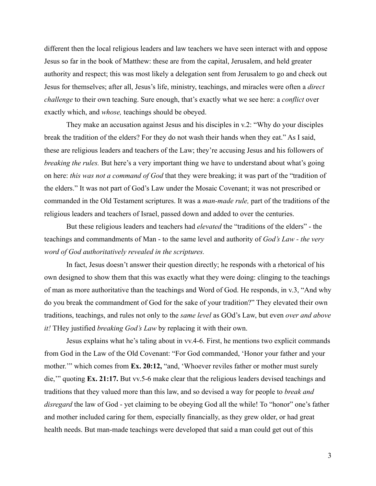different then the local religious leaders and law teachers we have seen interact with and oppose Jesus so far in the book of Matthew: these are from the capital, Jerusalem, and held greater authority and respect; this was most likely a delegation sent from Jerusalem to go and check out Jesus for themselves; after all, Jesus's life, ministry, teachings, and miracles were often a *direct challenge* to their own teaching. Sure enough, that's exactly what we see here: a *conflict* over exactly which, and *whose,* teachings should be obeyed.

They make an accusation against Jesus and his disciples in v.2: "Why do your disciples break the tradition of the elders? For they do not wash their hands when they eat." As I said, these are religious leaders and teachers of the Law; they're accusing Jesus and his followers of *breaking the rules.* But here's a very important thing we have to understand about what's going on here: *this was not a command of God* that they were breaking; it was part of the "tradition of the elders." It was not part of God's Law under the Mosaic Covenant; it was not prescribed or commanded in the Old Testament scriptures. It was a *man-made rule,* part of the traditions of the religious leaders and teachers of Israel, passed down and added to over the centuries.

But these religious leaders and teachers had *elevated* the "traditions of the elders" - the teachings and commandments of Man - to the same level and authority of *God's Law - the very word of God authoritatively revealed in the scriptures.*

In fact, Jesus doesn't answer their question directly; he responds with a rhetorical of his own designed to show them that this was exactly what they were doing: clinging to the teachings of man as more authoritative than the teachings and Word of God. He responds, in v.3, "And why do you break the commandment of God for the sake of your tradition?" They elevated their own traditions, teachings, and rules not only to the *same level* as GOd's Law, but even *over and above it!* THey justified *breaking God's Law* by replacing it with their own.

Jesus explains what he's taling about in vv.4-6. First, he mentions two explicit commands from God in the Law of the Old Covenant: "For God commanded, 'Honor your father and your mother." which comes from **Ex. 20:12,** "and, 'Whoever reviles father or mother must surely die,'" quoting **Ex. 21:17.** But vv.5-6 make clear that the religious leaders devised teachings and traditions that they valued more than this law, and so devised a way for people to *break and disregard* the law of God - yet claiming to be obeying God all the while! To "honor" one's father and mother included caring for them, especially financially, as they grew older, or had great health needs. But man-made teachings were developed that said a man could get out of this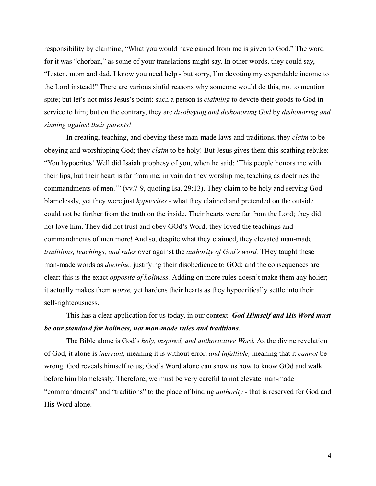responsibility by claiming, "What you would have gained from me is given to God." The word for it was "chorban," as some of your translations might say. In other words, they could say, "Listen, mom and dad, I know you need help - but sorry, I'm devoting my expendable income to the Lord instead!" There are various sinful reasons why someone would do this, not to mention spite; but let's not miss Jesus's point: such a person is *claiming* to devote their goods to God in service to him; but on the contrary, they are *disobeying and dishonoring God* by *dishonoring and sinning against their parents!*

In creating, teaching, and obeying these man-made laws and traditions, they *claim* to be obeying and worshipping God; they *claim* to be holy! But Jesus gives them this scathing rebuke: "You hypocrites! Well did Isaiah prophesy of you, when he said: 'This people honors me with their lips, but their heart is far from me; in vain do they worship me, teaching as doctrines the commandments of men.'" (vv.7-9, quoting Isa. 29:13). They claim to be holy and serving God blamelessly, yet they were just *hypocrites -* what they claimed and pretended on the outside could not be further from the truth on the inside. Their hearts were far from the Lord; they did not love him. They did not trust and obey GOd's Word; they loved the teachings and commandments of men more! And so, despite what they claimed, they elevated man-made *traditions, teachings, and rules* over against the *authority of God's word.* THey taught these man-made words as *doctrine,* justifying their disobedience to GOd; and the consequences are clear: this is the exact *opposite of holiness.* Adding on more rules doesn't make them any holier; it actually makes them *worse,* yet hardens their hearts as they hypocritically settle into their self-righteousness.

# This has a clear application for us today, in our context: *God Himself and His Word must be our standard for holiness, not man-made rules and traditions.*

The Bible alone is God's *holy, inspired, and authoritative Word.* As the divine revelation of God, it alone is *inerrant,* meaning it is without error, *and infallible,* meaning that it *cannot* be wrong. God reveals himself to us; God's Word alone can show us how to know GOd and walk before him blamelessly. Therefore, we must be very careful to not elevate man-made "commandments" and "traditions" to the place of binding *authority -* that is reserved for God and His Word alone.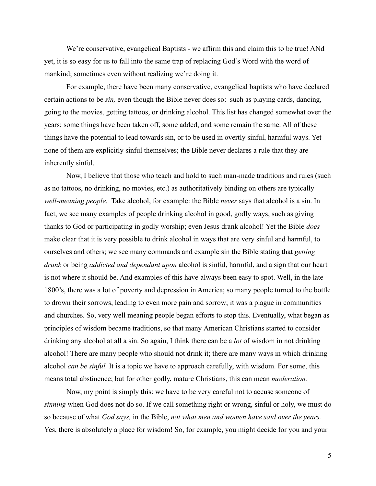We're conservative, evangelical Baptists - we affirm this and claim this to be true! ANd yet, it is so easy for us to fall into the same trap of replacing God's Word with the word of mankind; sometimes even without realizing we're doing it.

For example, there have been many conservative, evangelical baptists who have declared certain actions to be *sin,* even though the Bible never does so: such as playing cards, dancing, going to the movies, getting tattoos, or drinking alcohol. This list has changed somewhat over the years; some things have been taken off, some added, and some remain the same. All of these things have the potential to lead towards sin, or to be used in overtly sinful, harmful ways. Yet none of them are explicitly sinful themselves; the Bible never declares a rule that they are inherently sinful.

Now, I believe that those who teach and hold to such man-made traditions and rules (such as no tattoos, no drinking, no movies, etc.) as authoritatively binding on others are typically *well-meaning people.* Take alcohol, for example: the Bible *never* says that alcohol is a sin. In fact, we see many examples of people drinking alcohol in good, godly ways, such as giving thanks to God or participating in godly worship; even Jesus drank alcohol! Yet the Bible *does* make clear that it is very possible to drink alcohol in ways that are very sinful and harmful, to ourselves and others; we see many commands and example sin the Bible stating that *getting drunk* or being *addicted and dependant upon* alcohol is sinful, harmful, and a sign that our heart is not where it should be. And examples of this have always been easy to spot. Well, in the late 1800's, there was a lot of poverty and depression in America; so many people turned to the bottle to drown their sorrows, leading to even more pain and sorrow; it was a plague in communities and churches. So, very well meaning people began efforts to stop this. Eventually, what began as principles of wisdom became traditions, so that many American Christians started to consider drinking any alcohol at all a sin. So again, I think there can be a *lot* of wisdom in not drinking alcohol! There are many people who should not drink it; there are many ways in which drinking alcohol *can be sinful.* It is a topic we have to approach carefully, with wisdom. For some, this means total abstinence; but for other godly, mature Christians, this can mean *moderation.*

Now, my point is simply this: we have to be very careful not to accuse someone of *sinning* when God does not do so. If we call something right or wrong, sinful or holy, we must do so because of what *God says,* in the Bible, *not what men and women have said over the years.* Yes, there is absolutely a place for wisdom! So, for example, you might decide for you and your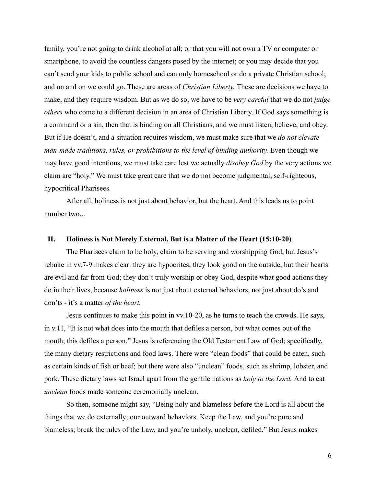family, you're not going to drink alcohol at all; or that you will not own a TV or computer or smartphone, to avoid the countless dangers posed by the internet; or you may decide that you can't send your kids to public school and can only homeschool or do a private Christian school; and on and on we could go. These are areas of *Christian Liberty.* These are decisions we have to make, and they require wisdom. But as we do so, we have to be *very careful* that we do not *judge others* who come to a different decision in an area of Christian Liberty. If God says something is a command or a sin, then that is binding on all Christians, and we must listen, believe, and obey. But if He doesn't, and a situation requires wisdom, we must make sure that we *do not elevate man-made traditions, rules, or prohibitions to the level of binding authority.* Even though we may have good intentions, we must take care lest we actually *disobey God* by the very actions we claim are "holy." We must take great care that we do not become judgmental, self-righteous, hypocritical Pharisees.

After all, holiness is not just about behavior, but the heart. And this leads us to point number two...

#### **II. Holiness is Not Merely External, But is a Matter of the Heart (15:10-20)**

The Pharisees claim to be holy, claim to be serving and worshipping God, but Jesus's rebuke in vv.7-9 makes clear: they are hypocrites; they look good on the outside, but their hearts are evil and far from God; they don't truly worship or obey God, despite what good actions they do in their lives, because *holiness* is not just about external behaviors, not just about do's and don'ts - it's a matter *of the heart.*

Jesus continues to make this point in vv.10-20, as he turns to teach the crowds. He says, in v.11, "It is not what does into the mouth that defiles a person, but what comes out of the mouth; this defiles a person." Jesus is referencing the Old Testament Law of God; specifically, the many dietary restrictions and food laws. There were "clean foods" that could be eaten, such as certain kinds of fish or beef; but there were also "unclean" foods, such as shrimp, lobster, and pork. These dietary laws set Israel apart from the gentile nations as *holy to the Lord.* And to eat *unclean* foods made someone ceremonially unclean.

So then, someone might say, "Being holy and blameless before the Lord is all about the things that we do externally; our outward behaviors. Keep the Law, and you're pure and blameless; break the rules of the Law, and you're unholy, unclean, defiled." But Jesus makes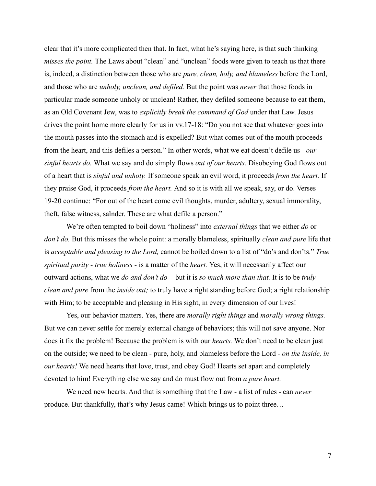clear that it's more complicated then that. In fact, what he's saying here, is that such thinking *misses the point.* The Laws about "clean" and "unclean" foods were given to teach us that there is, indeed, a distinction between those who are *pure, clean, holy, and blameless* before the Lord, and those who are *unholy, unclean, and defiled.* But the point was *never* that those foods in particular made someone unholy or unclean! Rather, they defiled someone because to eat them, as an Old Covenant Jew, was to *explicitly break the command of God* under that Law. Jesus drives the point home more clearly for us in vv.17-18: "Do you not see that whatever goes into the mouth passes into the stomach and is expelled? But what comes out of the mouth proceeds from the heart, and this defiles a person." In other words, what we eat doesn't defile us - *our sinful hearts do.* What we say and do simply flows *out of our hearts.* Disobeying God flows out of a heart that is *sinful and unholy.* If someone speak an evil word, it proceeds *from the heart.* If they praise God, it proceeds *from the heart.* And so it is with all we speak, say, or do. Verses 19-20 continue: "For out of the heart come evil thoughts, murder, adultery, sexual immorality, theft, false witness, salnder. These are what defile a person."

We're often tempted to boil down "holiness" into *external things* that we either *do* or *don't do.* But this misses the whole point: a morally blameless, spiritually *clean and pure* life that is *acceptable and pleasing to the Lord,* cannot be boiled down to a list of "do's and don'ts." *True spiritual purity - true holiness -* is a matter of the *heart.* Yes, it will necessarily affect our outward actions, what we *do and don't do -* but it is *so much more than that.* It is to be *truly clean and pure* from the *inside out;* to truly have a right standing before God; a right relationship with Him; to be acceptable and pleasing in His sight, in every dimension of our lives!

Yes, our behavior matters. Yes, there are *morally right things* and *morally wrong things.* But we can never settle for merely external change of behaviors; this will not save anyone. Nor does it fix the problem! Because the problem is with our *hearts.* We don't need to be clean just on the outside; we need to be clean - pure, holy, and blameless before the Lord - *on the inside, in our hearts!* We need hearts that love, trust, and obey God! Hearts set apart and completely devoted to him! Everything else we say and do must flow out from *a pure heart.*

We need new hearts. And that is something that the Law - a list of rules - can *never* produce. But thankfully, that's why Jesus came! Which brings us to point three…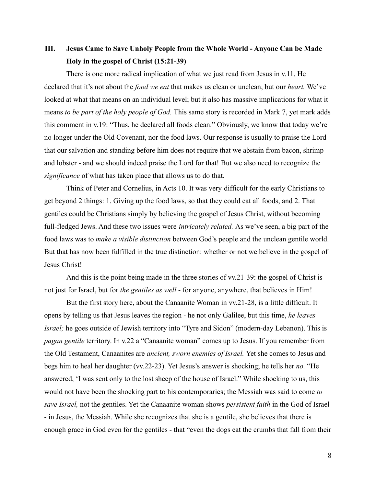## **III. Jesus Came to Save Unholy People from the Whole World - Anyone Can be Made Holy in the gospel of Christ (15:21-39)**

There is one more radical implication of what we just read from Jesus in v.11. He declared that it's not about the *food we eat* that makes us clean or unclean, but our *heart.* We've looked at what that means on an individual level; but it also has massive implications for what it means *to be part of the holy people of God.* This same story is recorded in Mark 7, yet mark adds this comment in v.19: "Thus, he declared all foods clean." Obviously, we know that today we're no longer under the Old Covenant, nor the food laws. Our response is usually to praise the Lord that our salvation and standing before him does not require that we abstain from bacon, shrimp and lobster - and we should indeed praise the Lord for that! But we also need to recognize the *significance* of what has taken place that allows us to do that.

Think of Peter and Cornelius, in Acts 10. It was very difficult for the early Christians to get beyond 2 things: 1. Giving up the food laws, so that they could eat all foods, and 2. That gentiles could be Christians simply by believing the gospel of Jesus Christ, without becoming full-fledged Jews. And these two issues were *intricately related.* As we've seen, a big part of the food laws was to *make a visible distinction* between God's people and the unclean gentile world. But that has now been fulfilled in the true distinction: whether or not we believe in the gospel of Jesus Christ!

And this is the point being made in the three stories of vv.21-39: the gospel of Christ is not just for Israel, but for *the gentiles as well* - for anyone, anywhere, that believes in Him!

But the first story here, about the Canaanite Woman in vv.21-28, is a little difficult. It opens by telling us that Jesus leaves the region - he not only Galilee, but this time, *he leaves Israel;* he goes outside of Jewish territory into "Tyre and Sidon" (modern-day Lebanon). This is *pagan gentile* territory. In v.22 a "Canaanite woman" comes up to Jesus. If you remember from the Old Testament, Canaanites are *ancient, sworn enemies of Israel.* Yet she comes to Jesus and begs him to heal her daughter (vv.22-23). Yet Jesus's answer is shocking; he tells her *no.* "He answered, 'I was sent only to the lost sheep of the house of Israel." While shocking to us, this would not have been the shocking part to his contemporaries; the Messiah was said to come *to save Israel,* not the gentiles. Yet the Canaanite woman shows *persistent faith* in the God of Israel - in Jesus, the Messiah. While she recognizes that she is a gentile, she believes that there is enough grace in God even for the gentiles - that "even the dogs eat the crumbs that fall from their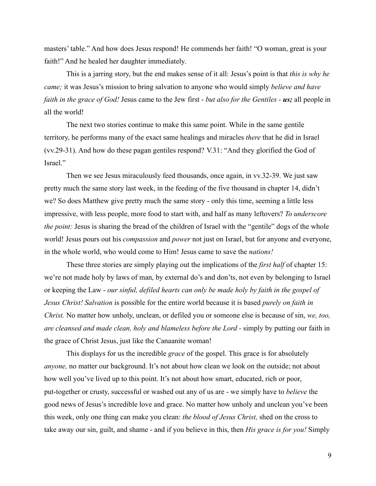masters' table." And how does Jesus respond! He commends her faith! "O woman, great is your faith!" And he healed her daughter immediately.

This is a jarring story, but the end makes sense of it all: Jesus's point is that *this is why he came;* it was Jesus's mission to bring salvation to anyone who would simply *believe and have faith in the grace of God!* Jesus came to the Jew first - *but also for the Gentiles - us;* all people in all the world!

The next two stories continue to make this same point. While in the same gentile territory, he performs many of the exact same healings and miracles *there* that he did in Israel (vv.29-31). And how do these pagan gentiles respond? V.31: "And they glorified the God of Israel."

Then we see Jesus miraculously feed thousands, once again, in vv.32-39. We just saw pretty much the same story last week, in the feeding of the five thousand in chapter 14, didn't we? So does Matthew give pretty much the same story - only this time, seeming a little less impressive, with less people, more food to start with, and half as many leftovers? *To underscore the point:* Jesus is sharing the bread of the children of Israel with the "gentile" dogs of the whole world! Jesus pours out his *compassion* and *power* not just on Israel, but for anyone and everyone, in the whole world, who would come to Him! Jesus came to save the *nations!*

These three stories are simply playing out the implications of the *first half* of chapter 15: we're not made holy by laws of man, by external do's and don'ts, not even by belonging to Israel or keeping the Law - *our sinful, defiled hearts can only be made holy by faith in the gospel of Jesus Christ! Salvation* is possible for the entire world because it is based *purely on faith in Christ.* No matter how unholy, unclean, or defiled you or someone else is because of sin, *we, too, are cleansed and made clean, holy and blameless before the Lord -* simply by putting our faith in the grace of Christ Jesus, just like the Canaanite woman!

This displays for us the incredible *grace* of the gospel. This grace is for absolutely *anyone,* no matter our background. It's not about how clean we look on the outside; not about how well you've lived up to this point. It's not about how smart, educated, rich or poor, put-together or crusty, successful or washed out any of us are - we simply have to *believe* the good news of Jesus's incredible love and grace. No matter how unholy and unclean you've been this week, only one thing can make you clean: *the blood of Jesus Christ,* shed on the cross to take away our sin, guilt, and shame - and if you believe in this, then *His grace is for you!* Simply